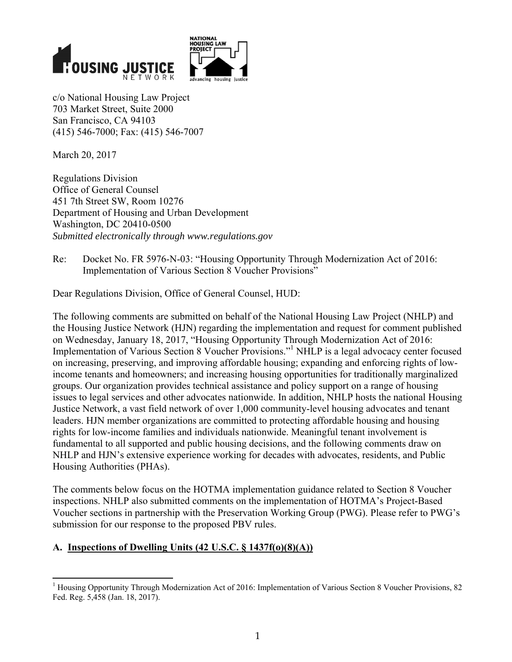



c/o National Housing Law Project 703 Market Street, Suite 2000 San Francisco, CA 94103 (415) 546-7000; Fax: (415) 546-7007

March 20, 2017

Regulations Division Office of General Counsel 451 7th Street SW, Room 10276 Department of Housing and Urban Development Washington, DC 20410-0500 *Submitted electronically through www.regulations.gov* 

Re: Docket No. FR 5976-N-03: "Housing Opportunity Through Modernization Act of 2016: Implementation of Various Section 8 Voucher Provisions"

Dear Regulations Division, Office of General Counsel, HUD:

The following comments are submitted on behalf of the National Housing Law Project (NHLP) and the Housing Justice Network (HJN) regarding the implementation and request for comment published on Wednesday, January 18, 2017, "Housing Opportunity Through Modernization Act of 2016: Implementation of Various Section 8 Voucher Provisions."<sup>1</sup> NHLP is a legal advocacy center focused on increasing, preserving, and improving affordable housing; expanding and enforcing rights of lowincome tenants and homeowners; and increasing housing opportunities for traditionally marginalized groups. Our organization provides technical assistance and policy support on a range of housing issues to legal services and other advocates nationwide. In addition, NHLP hosts the national Housing Justice Network, a vast field network of over 1,000 community-level housing advocates and tenant leaders. HJN member organizations are committed to protecting affordable housing and housing rights for low-income families and individuals nationwide. Meaningful tenant involvement is fundamental to all supported and public housing decisions, and the following comments draw on NHLP and HJN's extensive experience working for decades with advocates, residents, and Public Housing Authorities (PHAs).

The comments below focus on the HOTMA implementation guidance related to Section 8 Voucher inspections. NHLP also submitted comments on the implementation of HOTMA's Project-Based Voucher sections in partnership with the Preservation Working Group (PWG). Please refer to PWG's submission for our response to the proposed PBV rules.

# **A. Inspections of Dwelling Units (42 U.S.C. § 1437f(o)(8)(A))**

<sup>&</sup>lt;sup>1</sup> Housing Opportunity Through Modernization Act of 2016: Implementation of Various Section 8 Voucher Provisions, 82 Fed. Reg. 5,458 (Jan. 18, 2017).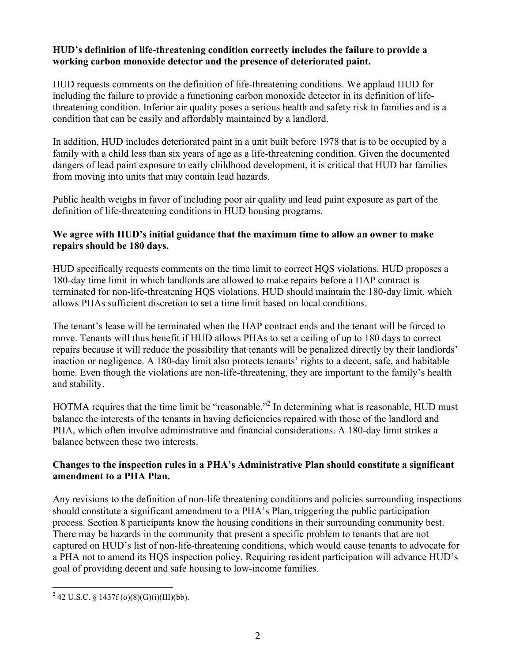### **HUD's definition of life-threatening condition correctly includes the failure to provide a working carbon monoxide detector and the presence of deteriorated paint.**

HUD requests comments on the definition of life-threatening conditions. We applaud HUD for including the failure to provide a functioning carbon monoxide detector in its definition of lifethreatening condition. Inferior air quality poses a serious health and safety risk to families and is a condition that can be easily and affordably maintained by a landlord.

In addition, HUD includes deteriorated paint in a unit built before 1978 that is to be occupied by a family with a child less than six years of age as a life-threatening condition. Given the documented dangers of lead paint exposure to early childhood development, it is critical that HUD bar families from moving into units that may contain lead hazards.

Public health weighs in favor of including poor air quality and lead paint exposure as part of the definition of life-threatening conditions in HUD housing programs.

### **We agree with HUD's initial guidance that the maximum time to allow an owner to make repairs should be 180 days.**

HUD specifically requests comments on the time limit to correct HQS violations. HUD proposes a 180-day time limit in which landlords are allowed to make repairs before a HAP contract is terminated for non-life-threatening HQS violations. HUD should maintain the 180-day limit, which allows PHAs sufficient discretion to set a time limit based on local conditions.

The tenant's lease will be terminated when the HAP contract ends and the tenant will be forced to move. Tenants will thus benefit if HUD allows PHAs to set a ceiling of up to 180 days to correct repairs because it will reduce the possibility that tenants will be penalized directly by their landlords' inaction or negligence. A 180-day limit also protects tenants' rights to a decent, safe, and habitable home. Even though the violations are non-life-threatening, they are important to the family's health and stability.

HOTMA requires that the time limit be "reasonable."<sup>2</sup> In determining what is reasonable, HUD must balance the interests of the tenants in having deficiencies repaired with those of the landlord and PHA, which often involve administrative and financial considerations. A 180-day limit strikes a balance between these two interests.

### **Changes to the inspection rules in a PHA's Administrative Plan should constitute a significant amendment to a PHA Plan.**

Any revisions to the definition of non-life threatening conditions and policies surrounding inspections should constitute a significant amendment to a PHA's Plan, triggering the public participation process. Section 8 participants know the housing conditions in their surrounding community best. There may be hazards in the community that present a specific problem to tenants that are not captured on HUD's list of non-life-threatening conditions, which would cause tenants to advocate for a PHA not to amend its HQS inspection policy. Requiring resident participation will advance HUD's goal of providing decent and safe housing to low-income families.

 <sup>2</sup> 42 U.S.C. § 1437f (o)(8)(G)(i)(III)(bb).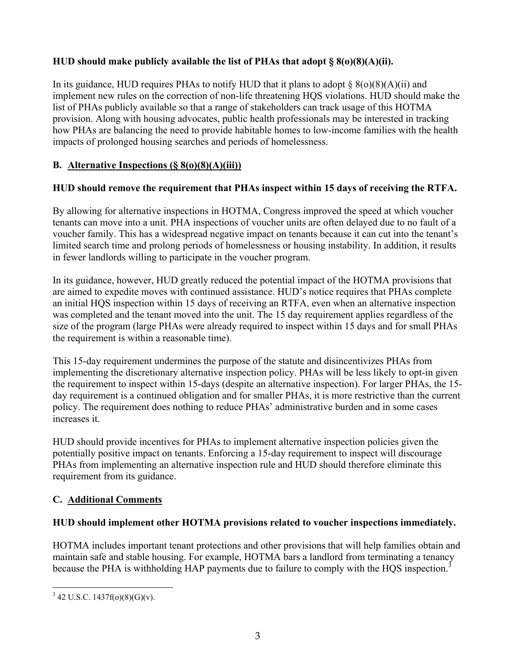## **HUD should make publicly available the list of PHAs that adopt § 8(o)(8)(A)(ii).**

In its guidance, HUD requires PHAs to notify HUD that it plans to adopt  $\S(8)(8)(A)(ii)$  and implement new rules on the correction of non-life threatening HQS violations. HUD should make the list of PHAs publicly available so that a range of stakeholders can track usage of this HOTMA provision. Along with housing advocates, public health professionals may be interested in tracking how PHAs are balancing the need to provide habitable homes to low-income families with the health impacts of prolonged housing searches and periods of homelessness.

## **B. Alternative Inspections (§ 8(o)(8)(A)(iii))**

# **HUD should remove the requirement that PHAs inspect within 15 days of receiving the RTFA.**

By allowing for alternative inspections in HOTMA, Congress improved the speed at which voucher tenants can move into a unit. PHA inspections of voucher units are often delayed due to no fault of a voucher family. This has a widespread negative impact on tenants because it can cut into the tenant's limited search time and prolong periods of homelessness or housing instability. In addition, it results in fewer landlords willing to participate in the voucher program.

In its guidance, however, HUD greatly reduced the potential impact of the HOTMA provisions that are aimed to expedite moves with continued assistance. HUD's notice requires that PHAs complete an initial HQS inspection within 15 days of receiving an RTFA, even when an alternative inspection was completed and the tenant moved into the unit. The 15 day requirement applies regardless of the size of the program (large PHAs were already required to inspect within 15 days and for small PHAs the requirement is within a reasonable time).

This 15-day requirement undermines the purpose of the statute and disincentivizes PHAs from implementing the discretionary alternative inspection policy. PHAs will be less likely to opt-in given the requirement to inspect within 15-days (despite an alternative inspection). For larger PHAs, the 15 day requirement is a continued obligation and for smaller PHAs, it is more restrictive than the current policy. The requirement does nothing to reduce PHAs' administrative burden and in some cases increases it.

HUD should provide incentives for PHAs to implement alternative inspection policies given the potentially positive impact on tenants. Enforcing a 15-day requirement to inspect will discourage PHAs from implementing an alternative inspection rule and HUD should therefore eliminate this requirement from its guidance.

# **C. Additional Comments**

### **HUD should implement other HOTMA provisions related to voucher inspections immediately.**

HOTMA includes important tenant protections and other provisions that will help families obtain and maintain safe and stable housing. For example, HOTMA bars a landlord from terminating a tenancy because the PHA is withholding HAP payments due to failure to comply with the HQS inspection.<sup>3</sup>

  $3$  42 U.S.C. 1437f(o)(8)(G)(v).